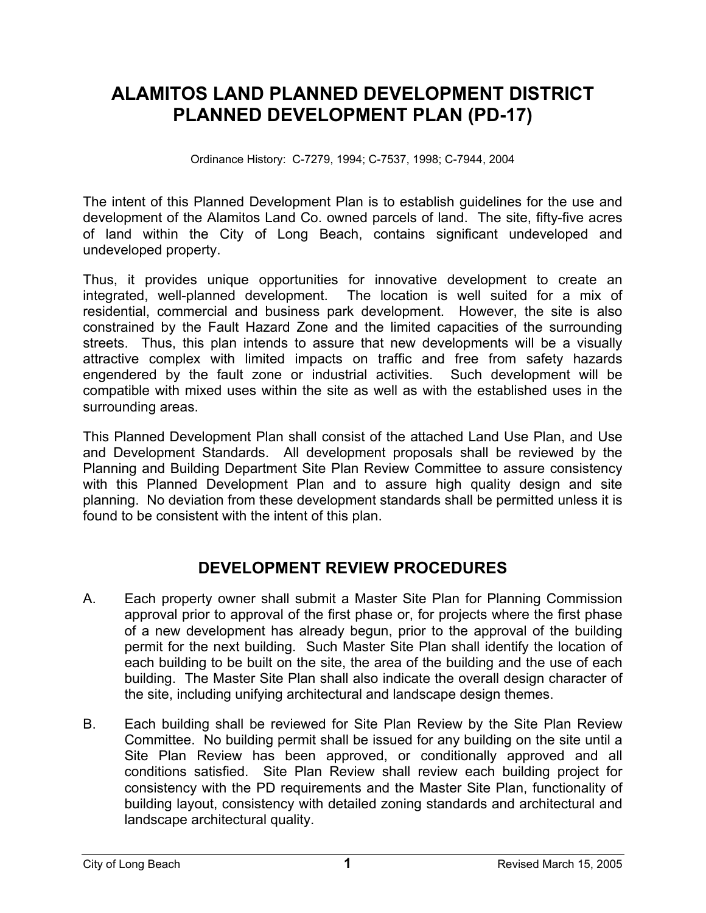# **ALAMITOS LAND PLANNED DEVELOPMENT DISTRICT PLANNED DEVELOPMENT PLAN (PD-17)**

Ordinance History: C-7279, 1994; C-7537, 1998; C-7944, 2004

The intent of this Planned Development Plan is to establish guidelines for the use and development of the Alamitos Land Co. owned parcels of land. The site, fifty-five acres of land within the City of Long Beach, contains significant undeveloped and undeveloped property.

Thus, it provides unique opportunities for innovative development to create an integrated, well-planned development. The location is well suited for a mix of residential, commercial and business park development. However, the site is also constrained by the Fault Hazard Zone and the limited capacities of the surrounding streets. Thus, this plan intends to assure that new developments will be a visually attractive complex with limited impacts on traffic and free from safety hazards engendered by the fault zone or industrial activities. Such development will be compatible with mixed uses within the site as well as with the established uses in the surrounding areas.

This Planned Development Plan shall consist of the attached Land Use Plan, and Use and Development Standards. All development proposals shall be reviewed by the Planning and Building Department Site Plan Review Committee to assure consistency with this Planned Development Plan and to assure high quality design and site planning. No deviation from these development standards shall be permitted unless it is found to be consistent with the intent of this plan.

# **DEVELOPMENT REVIEW PROCEDURES**

- A. Each property owner shall submit a Master Site Plan for Planning Commission approval prior to approval of the first phase or, for projects where the first phase of a new development has already begun, prior to the approval of the building permit for the next building. Such Master Site Plan shall identify the location of each building to be built on the site, the area of the building and the use of each building. The Master Site Plan shall also indicate the overall design character of the site, including unifying architectural and landscape design themes.
- B. Each building shall be reviewed for Site Plan Review by the Site Plan Review Committee. No building permit shall be issued for any building on the site until a Site Plan Review has been approved, or conditionally approved and all conditions satisfied. Site Plan Review shall review each building project for consistency with the PD requirements and the Master Site Plan, functionality of building layout, consistency with detailed zoning standards and architectural and landscape architectural quality.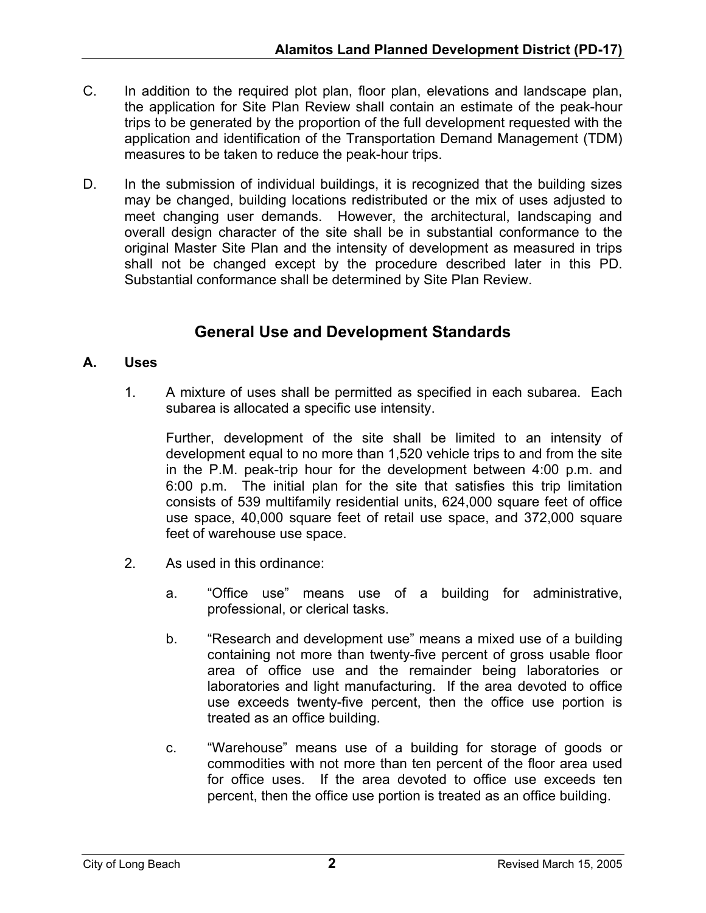- C. In addition to the required plot plan, floor plan, elevations and landscape plan, the application for Site Plan Review shall contain an estimate of the peak-hour trips to be generated by the proportion of the full development requested with the application and identification of the Transportation Demand Management (TDM) measures to be taken to reduce the peak-hour trips.
- D. In the submission of individual buildings, it is recognized that the building sizes may be changed, building locations redistributed or the mix of uses adjusted to meet changing user demands. However, the architectural, landscaping and overall design character of the site shall be in substantial conformance to the original Master Site Plan and the intensity of development as measured in trips shall not be changed except by the procedure described later in this PD. Substantial conformance shall be determined by Site Plan Review.

# **General Use and Development Standards**

# **A. Uses**

1. A mixture of uses shall be permitted as specified in each subarea. Each subarea is allocated a specific use intensity.

Further, development of the site shall be limited to an intensity of development equal to no more than 1,520 vehicle trips to and from the site in the P.M. peak-trip hour for the development between 4:00 p.m. and 6:00 p.m. The initial plan for the site that satisfies this trip limitation consists of 539 multifamily residential units, 624,000 square feet of office use space, 40,000 square feet of retail use space, and 372,000 square feet of warehouse use space.

- 2. As used in this ordinance:
	- a. "Office use" means use of a building for administrative, professional, or clerical tasks.
	- b. "Research and development use" means a mixed use of a building containing not more than twenty-five percent of gross usable floor area of office use and the remainder being laboratories or laboratories and light manufacturing. If the area devoted to office use exceeds twenty-five percent, then the office use portion is treated as an office building.
	- c. "Warehouse" means use of a building for storage of goods or commodities with not more than ten percent of the floor area used for office uses. If the area devoted to office use exceeds ten percent, then the office use portion is treated as an office building.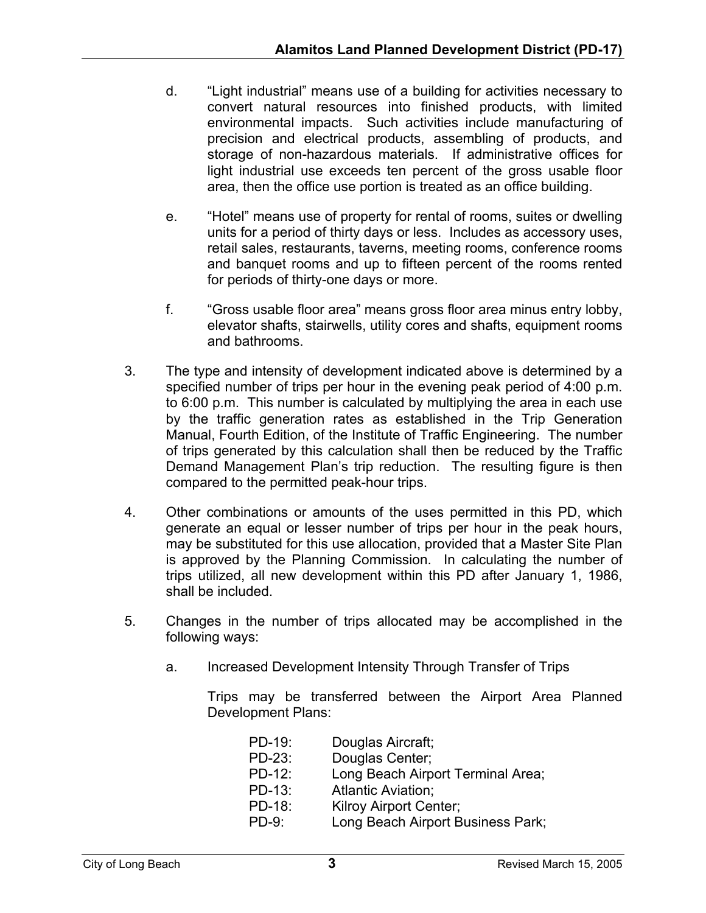- d. "Light industrial" means use of a building for activities necessary to convert natural resources into finished products, with limited environmental impacts. Such activities include manufacturing of precision and electrical products, assembling of products, and storage of non-hazardous materials. If administrative offices for light industrial use exceeds ten percent of the gross usable floor area, then the office use portion is treated as an office building.
- e. "Hotel" means use of property for rental of rooms, suites or dwelling units for a period of thirty days or less. Includes as accessory uses, retail sales, restaurants, taverns, meeting rooms, conference rooms and banquet rooms and up to fifteen percent of the rooms rented for periods of thirty-one days or more.
- f. "Gross usable floor area" means gross floor area minus entry lobby, elevator shafts, stairwells, utility cores and shafts, equipment rooms and bathrooms.
- 3. The type and intensity of development indicated above is determined by a specified number of trips per hour in the evening peak period of 4:00 p.m. to 6:00 p.m. This number is calculated by multiplying the area in each use by the traffic generation rates as established in the Trip Generation Manual, Fourth Edition, of the Institute of Traffic Engineering. The number of trips generated by this calculation shall then be reduced by the Traffic Demand Management Plan's trip reduction. The resulting figure is then compared to the permitted peak-hour trips.
- 4. Other combinations or amounts of the uses permitted in this PD, which generate an equal or lesser number of trips per hour in the peak hours, may be substituted for this use allocation, provided that a Master Site Plan is approved by the Planning Commission. In calculating the number of trips utilized, all new development within this PD after January 1, 1986, shall be included.
- 5. Changes in the number of trips allocated may be accomplished in the following ways:
	- a. Increased Development Intensity Through Transfer of Trips

Trips may be transferred between the Airport Area Planned Development Plans:

| PD-19:    | Douglas Aircraft;                 |
|-----------|-----------------------------------|
| PD-23:    | Douglas Center;                   |
| $PD-12$ : | Long Beach Airport Terminal Area; |
| PD-13:    | <b>Atlantic Aviation:</b>         |
| PD-18:    | Kilroy Airport Center;            |
| $PD-9:$   | Long Beach Airport Business Park; |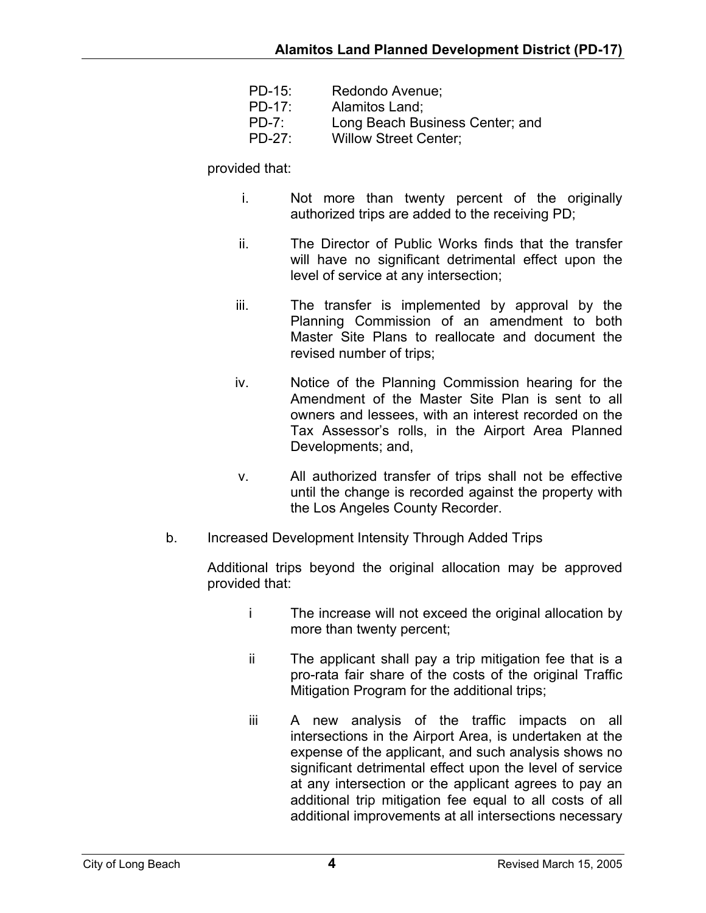| PD-15:    | Redondo Avenue;                 |
|-----------|---------------------------------|
| $PD-17$ : | Alamitos Land:                  |
| $PD-7$ :  | Long Beach Business Center; and |
| PD-27:    | <b>Willow Street Center;</b>    |

### provided that:

- i. Not more than twenty percent of the originally authorized trips are added to the receiving PD;
- ii. The Director of Public Works finds that the transfer will have no significant detrimental effect upon the level of service at any intersection;
- iii. The transfer is implemented by approval by the Planning Commission of an amendment to both Master Site Plans to reallocate and document the revised number of trips;
- iv. Notice of the Planning Commission hearing for the Amendment of the Master Site Plan is sent to all owners and lessees, with an interest recorded on the Tax Assessor's rolls, in the Airport Area Planned Developments; and,
- v. All authorized transfer of trips shall not be effective until the change is recorded against the property with the Los Angeles County Recorder.
- b. Increased Development Intensity Through Added Trips

Additional trips beyond the original allocation may be approved provided that:

- i The increase will not exceed the original allocation by more than twenty percent;
- ii The applicant shall pay a trip mitigation fee that is a pro-rata fair share of the costs of the original Traffic Mitigation Program for the additional trips;
- iii A new analysis of the traffic impacts on all intersections in the Airport Area, is undertaken at the expense of the applicant, and such analysis shows no significant detrimental effect upon the level of service at any intersection or the applicant agrees to pay an additional trip mitigation fee equal to all costs of all additional improvements at all intersections necessary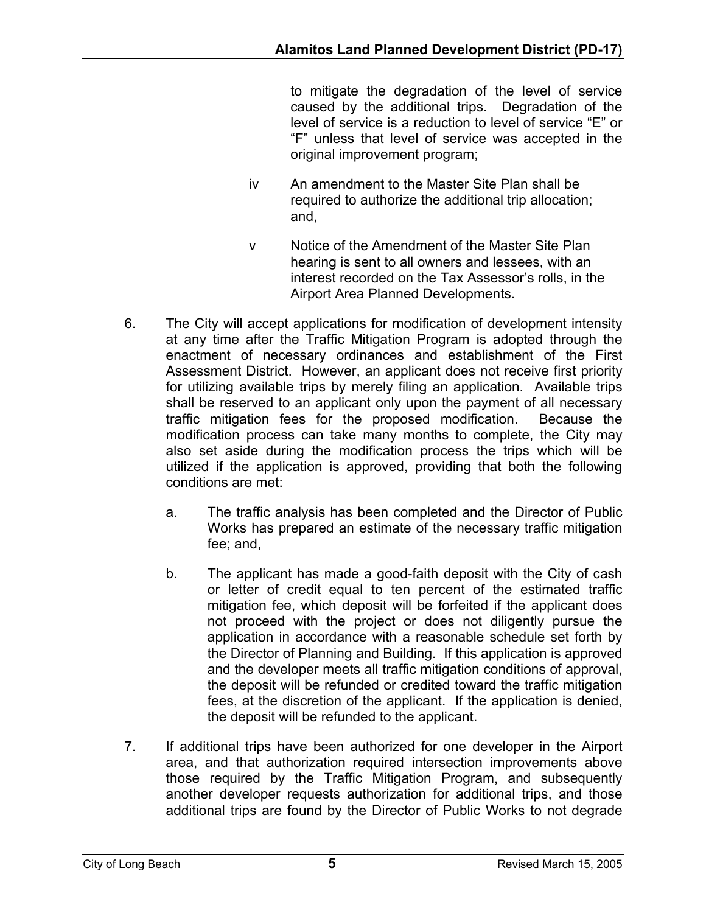to mitigate the degradation of the level of service caused by the additional trips. Degradation of the level of service is a reduction to level of service "E" or "F" unless that level of service was accepted in the original improvement program;

- iv An amendment to the Master Site Plan shall be required to authorize the additional trip allocation; and,
- v Notice of the Amendment of the Master Site Plan hearing is sent to all owners and lessees, with an interest recorded on the Tax Assessor's rolls, in the Airport Area Planned Developments.
- 6. The City will accept applications for modification of development intensity at any time after the Traffic Mitigation Program is adopted through the enactment of necessary ordinances and establishment of the First Assessment District. However, an applicant does not receive first priority for utilizing available trips by merely filing an application. Available trips shall be reserved to an applicant only upon the payment of all necessary traffic mitigation fees for the proposed modification. Because the modification process can take many months to complete, the City may also set aside during the modification process the trips which will be utilized if the application is approved, providing that both the following conditions are met:
	- a. The traffic analysis has been completed and the Director of Public Works has prepared an estimate of the necessary traffic mitigation fee; and,
	- b. The applicant has made a good-faith deposit with the City of cash or letter of credit equal to ten percent of the estimated traffic mitigation fee, which deposit will be forfeited if the applicant does not proceed with the project or does not diligently pursue the application in accordance with a reasonable schedule set forth by the Director of Planning and Building. If this application is approved and the developer meets all traffic mitigation conditions of approval, the deposit will be refunded or credited toward the traffic mitigation fees, at the discretion of the applicant. If the application is denied, the deposit will be refunded to the applicant.
- 7. If additional trips have been authorized for one developer in the Airport area, and that authorization required intersection improvements above those required by the Traffic Mitigation Program, and subsequently another developer requests authorization for additional trips, and those additional trips are found by the Director of Public Works to not degrade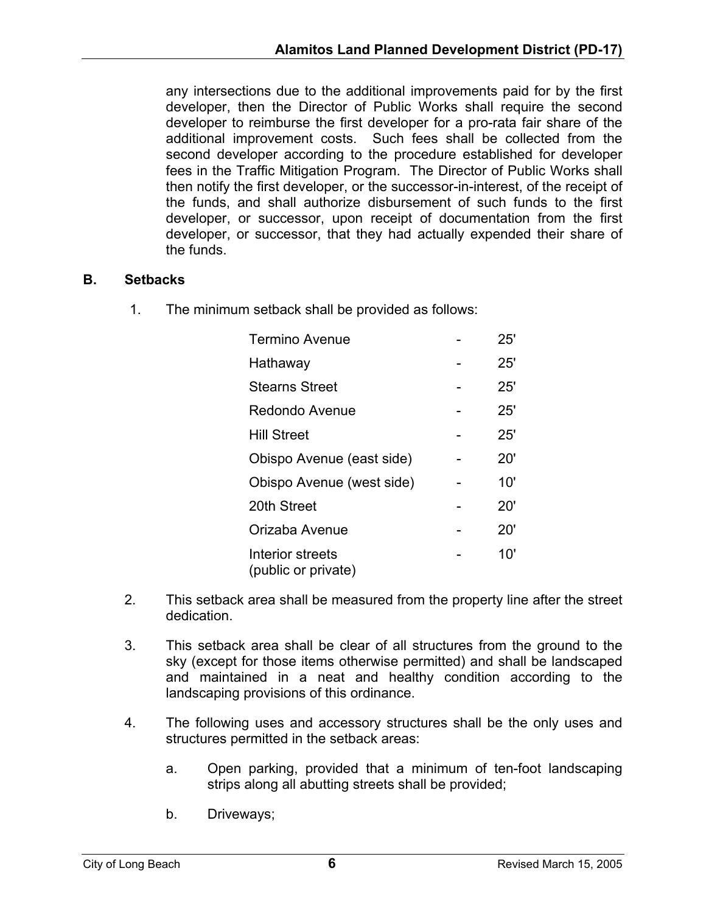any intersections due to the additional improvements paid for by the first developer, then the Director of Public Works shall require the second developer to reimburse the first developer for a pro-rata fair share of the additional improvement costs. Such fees shall be collected from the second developer according to the procedure established for developer fees in the Traffic Mitigation Program. The Director of Public Works shall then notify the first developer, or the successor-in-interest, of the receipt of the funds, and shall authorize disbursement of such funds to the first developer, or successor, upon receipt of documentation from the first developer, or successor, that they had actually expended their share of the funds.

# **B. Setbacks**

1. The minimum setback shall be provided as follows:

| <b>Termino Avenue</b>                   | 25' |
|-----------------------------------------|-----|
| Hathaway                                | 25' |
| <b>Stearns Street</b>                   | 25' |
| Redondo Avenue                          | 25' |
| Hill Street                             | 25' |
| Obispo Avenue (east side)               | 20' |
| Obispo Avenue (west side)               | 10' |
| 20th Street                             | 20' |
| Orizaba Avenue                          | 20' |
| Interior streets<br>(public or private) | 10' |

- 2. This setback area shall be measured from the property line after the street dedication.
- 3. This setback area shall be clear of all structures from the ground to the sky (except for those items otherwise permitted) and shall be landscaped and maintained in a neat and healthy condition according to the landscaping provisions of this ordinance.
- 4. The following uses and accessory structures shall be the only uses and structures permitted in the setback areas:
	- a. Open parking, provided that a minimum of ten-foot landscaping strips along all abutting streets shall be provided;
	- b. Driveways;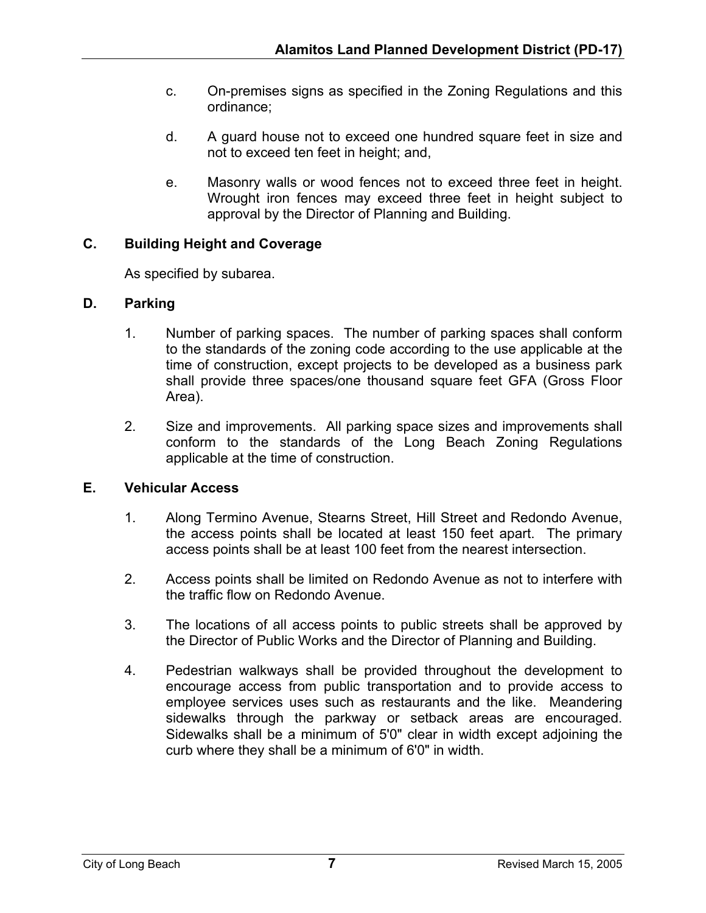- c. On-premises signs as specified in the Zoning Regulations and this ordinance;
- d. A guard house not to exceed one hundred square feet in size and not to exceed ten feet in height; and,
- e. Masonry walls or wood fences not to exceed three feet in height. Wrought iron fences may exceed three feet in height subject to approval by the Director of Planning and Building.

# **C. Building Height and Coverage**

As specified by subarea.

# **D. Parking**

- 1. Number of parking spaces. The number of parking spaces shall conform to the standards of the zoning code according to the use applicable at the time of construction, except projects to be developed as a business park shall provide three spaces/one thousand square feet GFA (Gross Floor Area).
- 2. Size and improvements. All parking space sizes and improvements shall conform to the standards of the Long Beach Zoning Regulations applicable at the time of construction.

# **E. Vehicular Access**

- 1. Along Termino Avenue, Stearns Street, Hill Street and Redondo Avenue, the access points shall be located at least 150 feet apart. The primary access points shall be at least 100 feet from the nearest intersection.
- 2. Access points shall be limited on Redondo Avenue as not to interfere with the traffic flow on Redondo Avenue.
- 3. The locations of all access points to public streets shall be approved by the Director of Public Works and the Director of Planning and Building.
- 4. Pedestrian walkways shall be provided throughout the development to encourage access from public transportation and to provide access to employee services uses such as restaurants and the like. Meandering sidewalks through the parkway or setback areas are encouraged. Sidewalks shall be a minimum of 5'0" clear in width except adjoining the curb where they shall be a minimum of 6'0" in width.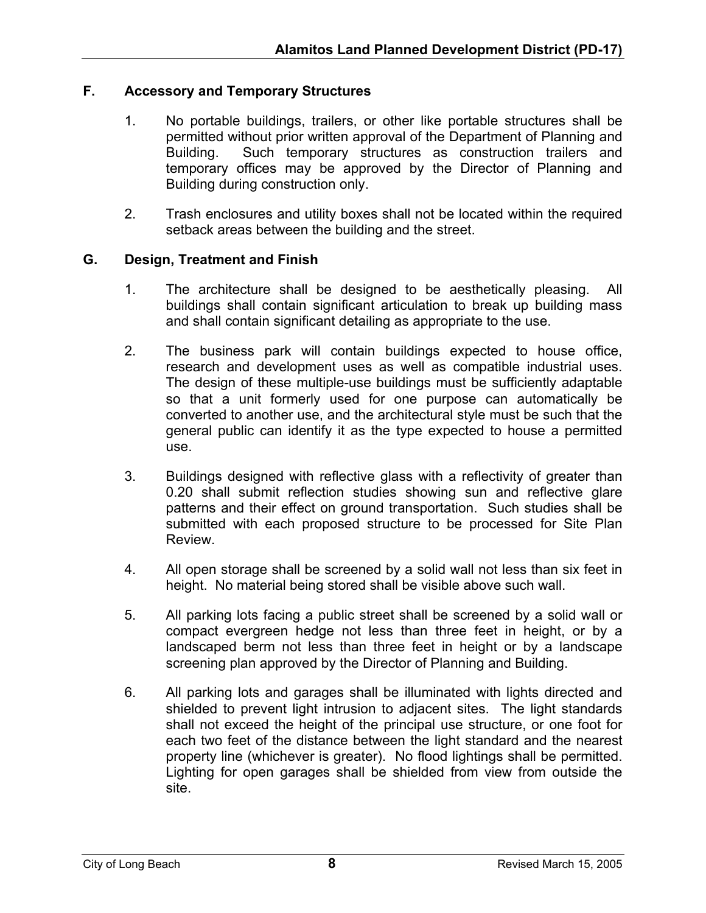# **F. Accessory and Temporary Structures**

- 1. No portable buildings, trailers, or other like portable structures shall be permitted without prior written approval of the Department of Planning and Building. Such temporary structures as construction trailers and temporary offices may be approved by the Director of Planning and Building during construction only.
- 2. Trash enclosures and utility boxes shall not be located within the required setback areas between the building and the street.

#### **G. Design, Treatment and Finish**

- 1. The architecture shall be designed to be aesthetically pleasing. All buildings shall contain significant articulation to break up building mass and shall contain significant detailing as appropriate to the use.
- 2. The business park will contain buildings expected to house office, research and development uses as well as compatible industrial uses. The design of these multiple-use buildings must be sufficiently adaptable so that a unit formerly used for one purpose can automatically be converted to another use, and the architectural style must be such that the general public can identify it as the type expected to house a permitted use.
- 3. Buildings designed with reflective glass with a reflectivity of greater than 0.20 shall submit reflection studies showing sun and reflective glare patterns and their effect on ground transportation. Such studies shall be submitted with each proposed structure to be processed for Site Plan Review.
- 4. All open storage shall be screened by a solid wall not less than six feet in height. No material being stored shall be visible above such wall.
- 5. All parking lots facing a public street shall be screened by a solid wall or compact evergreen hedge not less than three feet in height, or by a landscaped berm not less than three feet in height or by a landscape screening plan approved by the Director of Planning and Building.
- 6. All parking lots and garages shall be illuminated with lights directed and shielded to prevent light intrusion to adjacent sites. The light standards shall not exceed the height of the principal use structure, or one foot for each two feet of the distance between the light standard and the nearest property line (whichever is greater). No flood lightings shall be permitted. Lighting for open garages shall be shielded from view from outside the site.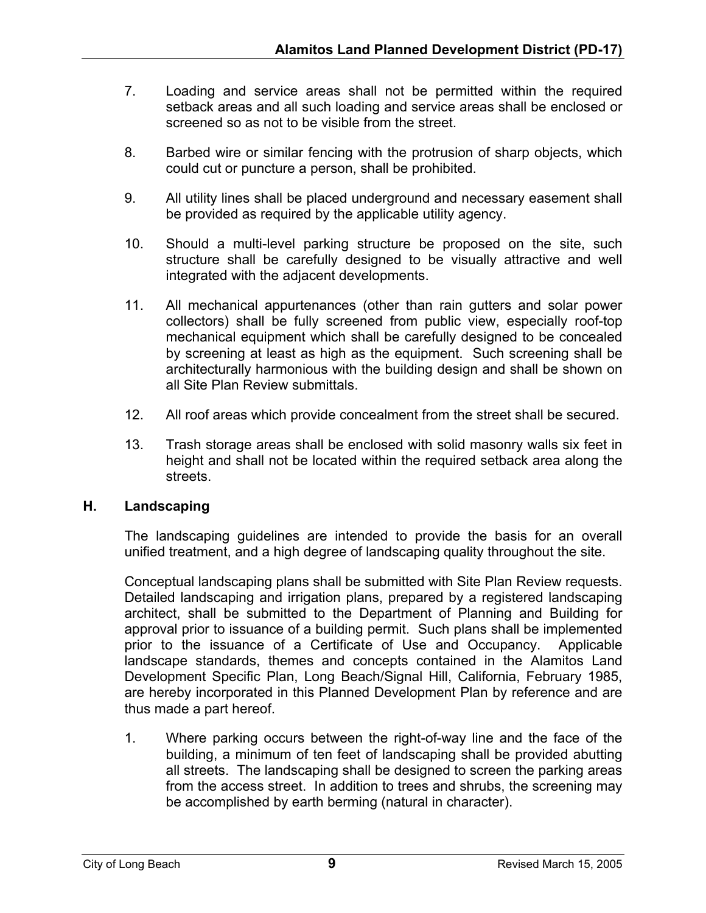- 7. Loading and service areas shall not be permitted within the required setback areas and all such loading and service areas shall be enclosed or screened so as not to be visible from the street.
- 8. Barbed wire or similar fencing with the protrusion of sharp objects, which could cut or puncture a person, shall be prohibited.
- 9. All utility lines shall be placed underground and necessary easement shall be provided as required by the applicable utility agency.
- 10. Should a multi-level parking structure be proposed on the site, such structure shall be carefully designed to be visually attractive and well integrated with the adjacent developments.
- 11. All mechanical appurtenances (other than rain gutters and solar power collectors) shall be fully screened from public view, especially roof-top mechanical equipment which shall be carefully designed to be concealed by screening at least as high as the equipment. Such screening shall be architecturally harmonious with the building design and shall be shown on all Site Plan Review submittals.
- 12. All roof areas which provide concealment from the street shall be secured.
- 13. Trash storage areas shall be enclosed with solid masonry walls six feet in height and shall not be located within the required setback area along the streets.

# **H. Landscaping**

The landscaping guidelines are intended to provide the basis for an overall unified treatment, and a high degree of landscaping quality throughout the site.

Conceptual landscaping plans shall be submitted with Site Plan Review requests. Detailed landscaping and irrigation plans, prepared by a registered landscaping architect, shall be submitted to the Department of Planning and Building for approval prior to issuance of a building permit. Such plans shall be implemented prior to the issuance of a Certificate of Use and Occupancy. Applicable landscape standards, themes and concepts contained in the Alamitos Land Development Specific Plan, Long Beach/Signal Hill, California, February 1985, are hereby incorporated in this Planned Development Plan by reference and are thus made a part hereof.

1. Where parking occurs between the right-of-way line and the face of the building, a minimum of ten feet of landscaping shall be provided abutting all streets. The landscaping shall be designed to screen the parking areas from the access street. In addition to trees and shrubs, the screening may be accomplished by earth berming (natural in character).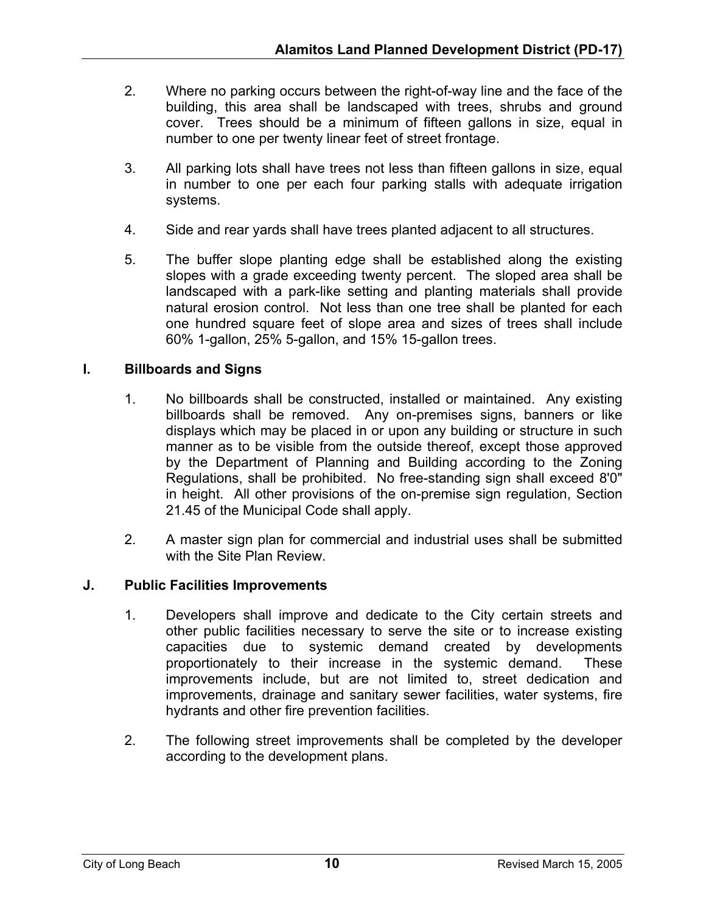- 2. Where no parking occurs between the right-of-way line and the face of the building, this area shall be landscaped with trees, shrubs and ground cover. Trees should be a minimum of fifteen gallons in size, equal in number to one per twenty linear feet of street frontage.
- 3. All parking lots shall have trees not less than fifteen gallons in size, equal in number to one per each four parking stalls with adequate irrigation systems.
- 4. Side and rear yards shall have trees planted adjacent to all structures.
- 5. The buffer slope planting edge shall be established along the existing slopes with a grade exceeding twenty percent. The sloped area shall be landscaped with a park-like setting and planting materials shall provide natural erosion control. Not less than one tree shall be planted for each one hundred square feet of slope area and sizes of trees shall include 60% 1-gallon, 25% 5-gallon, and 15% 15-gallon trees.

# **I. Billboards and Signs**

- 1. No billboards shall be constructed, installed or maintained. Any existing billboards shall be removed. Any on-premises signs, banners or like displays which may be placed in or upon any building or structure in such manner as to be visible from the outside thereof, except those approved by the Department of Planning and Building according to the Zoning Regulations, shall be prohibited. No free-standing sign shall exceed 8'0" in height. All other provisions of the on-premise sign regulation, Section 21.45 of the Municipal Code shall apply.
- 2. A master sign plan for commercial and industrial uses shall be submitted with the Site Plan Review.

# **J. Public Facilities Improvements**

- 1. Developers shall improve and dedicate to the City certain streets and other public facilities necessary to serve the site or to increase existing capacities due to systemic demand created by developments proportionately to their increase in the systemic demand. These improvements include, but are not limited to, street dedication and improvements, drainage and sanitary sewer facilities, water systems, fire hydrants and other fire prevention facilities.
- 2. The following street improvements shall be completed by the developer according to the development plans.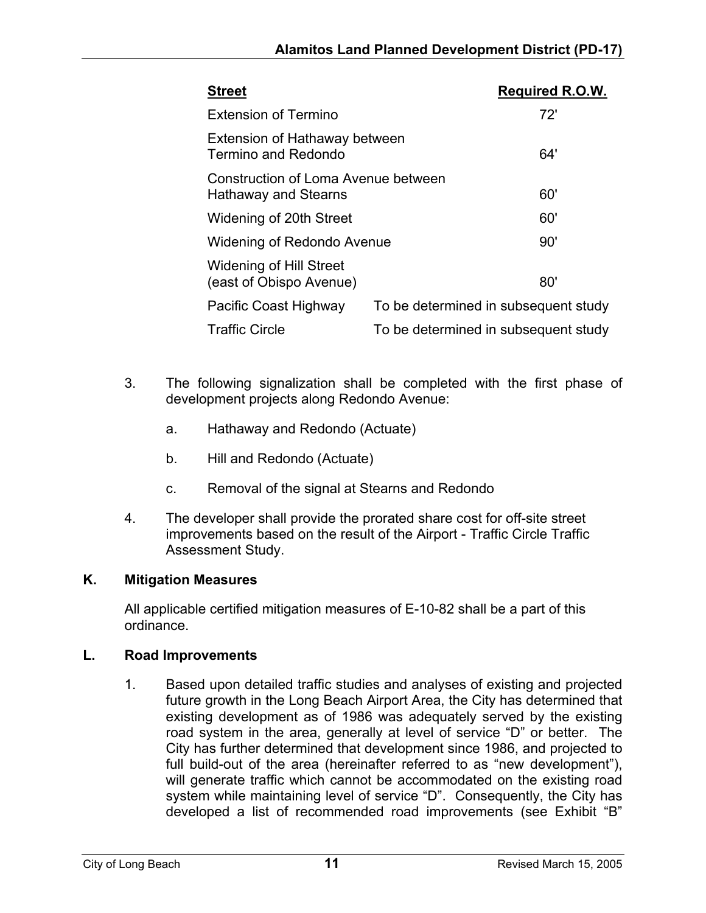| <b>Street</b>                                                      | <b>Required R.O.W.</b>               |
|--------------------------------------------------------------------|--------------------------------------|
| <b>Extension of Termino</b>                                        | 72'                                  |
| Extension of Hathaway between<br>Termino and Redondo               | 64'                                  |
| Construction of Loma Avenue between<br><b>Hathaway and Stearns</b> | 60'                                  |
| Widening of 20th Street                                            | 60'                                  |
| Widening of Redondo Avenue                                         | 90'                                  |
| <b>Widening of Hill Street</b><br>(east of Obispo Avenue)          | 80'                                  |
| Pacific Coast Highway                                              | To be determined in subsequent study |
| <b>Traffic Circle</b>                                              | To be determined in subsequent study |

- 3. The following signalization shall be completed with the first phase of development projects along Redondo Avenue:
	- a. Hathaway and Redondo (Actuate)
	- b. Hill and Redondo (Actuate)
	- c. Removal of the signal at Stearns and Redondo
- 4. The developer shall provide the prorated share cost for off-site street improvements based on the result of the Airport - Traffic Circle Traffic Assessment Study.

# **K. Mitigation Measures**

All applicable certified mitigation measures of E-10-82 shall be a part of this ordinance.

# **L. Road Improvements**

1. Based upon detailed traffic studies and analyses of existing and projected future growth in the Long Beach Airport Area, the City has determined that existing development as of 1986 was adequately served by the existing road system in the area, generally at level of service "D" or better. The City has further determined that development since 1986, and projected to full build-out of the area (hereinafter referred to as "new development"), will generate traffic which cannot be accommodated on the existing road system while maintaining level of service "D". Consequently, the City has developed a list of recommended road improvements (see Exhibit "B"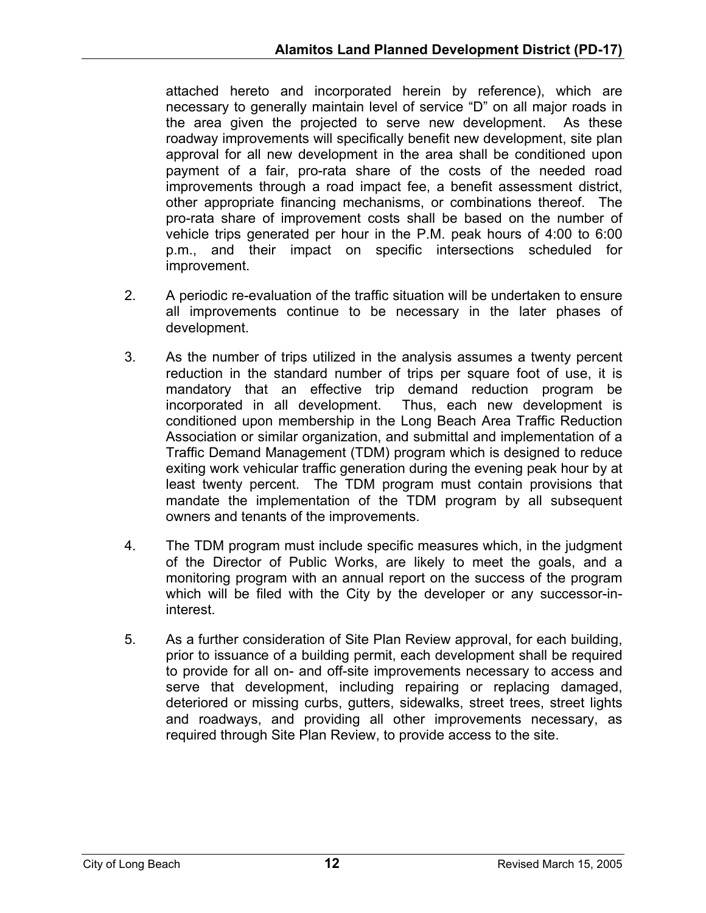attached hereto and incorporated herein by reference), which are necessary to generally maintain level of service "D" on all major roads in the area given the projected to serve new development. As these roadway improvements will specifically benefit new development, site plan approval for all new development in the area shall be conditioned upon payment of a fair, pro-rata share of the costs of the needed road improvements through a road impact fee, a benefit assessment district, other appropriate financing mechanisms, or combinations thereof. The pro-rata share of improvement costs shall be based on the number of vehicle trips generated per hour in the P.M. peak hours of 4:00 to 6:00 p.m., and their impact on specific intersections scheduled for improvement.

- 2. A periodic re-evaluation of the traffic situation will be undertaken to ensure all improvements continue to be necessary in the later phases of development.
- 3. As the number of trips utilized in the analysis assumes a twenty percent reduction in the standard number of trips per square foot of use, it is mandatory that an effective trip demand reduction program be incorporated in all development. Thus, each new development is conditioned upon membership in the Long Beach Area Traffic Reduction Association or similar organization, and submittal and implementation of a Traffic Demand Management (TDM) program which is designed to reduce exiting work vehicular traffic generation during the evening peak hour by at least twenty percent. The TDM program must contain provisions that mandate the implementation of the TDM program by all subsequent owners and tenants of the improvements.
- 4. The TDM program must include specific measures which, in the judgment of the Director of Public Works, are likely to meet the goals, and a monitoring program with an annual report on the success of the program which will be filed with the City by the developer or any successor-ininterest.
- 5. As a further consideration of Site Plan Review approval, for each building, prior to issuance of a building permit, each development shall be required to provide for all on- and off-site improvements necessary to access and serve that development, including repairing or replacing damaged, deteriored or missing curbs, gutters, sidewalks, street trees, street lights and roadways, and providing all other improvements necessary, as required through Site Plan Review, to provide access to the site.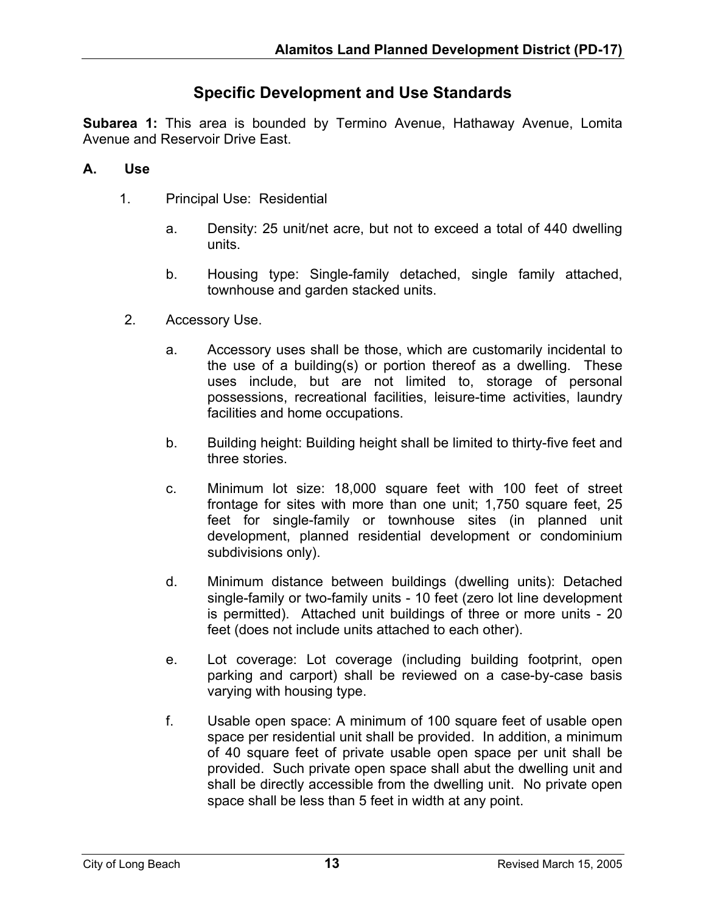# **Specific Development and Use Standards**

**Subarea 1:** This area is bounded by Termino Avenue, Hathaway Avenue, Lomita Avenue and Reservoir Drive East.

# **A. Use**

- 1. Principal Use: Residential
	- a. Density: 25 unit/net acre, but not to exceed a total of 440 dwelling units.
	- b. Housing type: Single-family detached, single family attached, townhouse and garden stacked units.
- 2. Accessory Use.
	- a. Accessory uses shall be those, which are customarily incidental to the use of a building(s) or portion thereof as a dwelling. These uses include, but are not limited to, storage of personal possessions, recreational facilities, leisure-time activities, laundry facilities and home occupations.
	- b. Building height: Building height shall be limited to thirty-five feet and three stories.
	- c. Minimum lot size: 18,000 square feet with 100 feet of street frontage for sites with more than one unit; 1,750 square feet, 25 feet for single-family or townhouse sites (in planned unit development, planned residential development or condominium subdivisions only).
	- d. Minimum distance between buildings (dwelling units): Detached single-family or two-family units - 10 feet (zero lot line development is permitted). Attached unit buildings of three or more units - 20 feet (does not include units attached to each other).
	- e. Lot coverage: Lot coverage (including building footprint, open parking and carport) shall be reviewed on a case-by-case basis varying with housing type.
	- f. Usable open space: A minimum of 100 square feet of usable open space per residential unit shall be provided. In addition, a minimum of 40 square feet of private usable open space per unit shall be provided. Such private open space shall abut the dwelling unit and shall be directly accessible from the dwelling unit. No private open space shall be less than 5 feet in width at any point.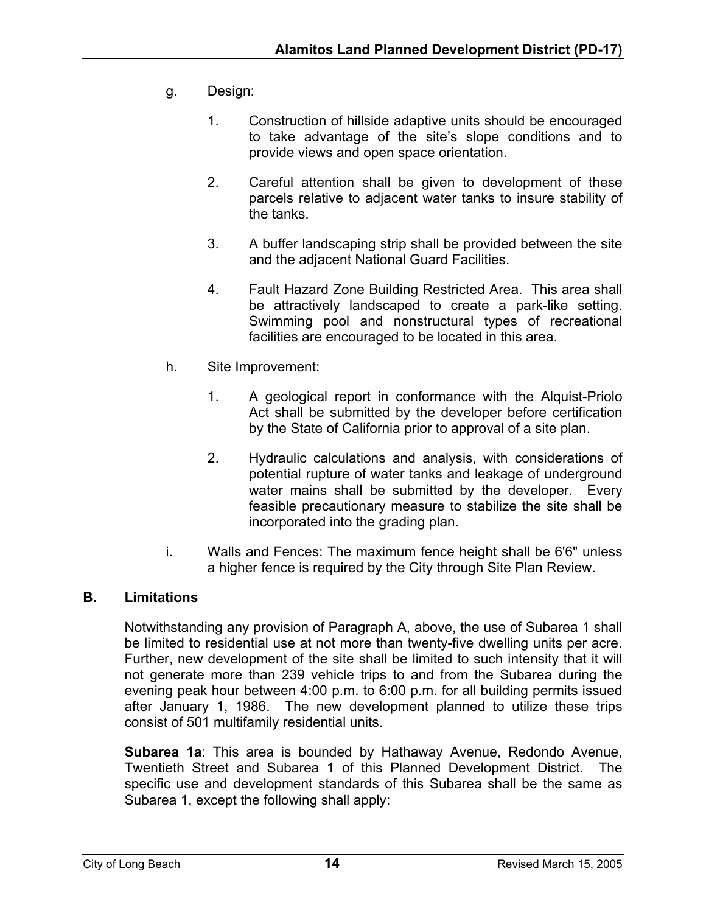- g. Design:
	- 1. Construction of hillside adaptive units should be encouraged to take advantage of the site's slope conditions and to provide views and open space orientation.
	- 2. Careful attention shall be given to development of these parcels relative to adjacent water tanks to insure stability of the tanks.
	- 3. A buffer landscaping strip shall be provided between the site and the adjacent National Guard Facilities.
	- 4. Fault Hazard Zone Building Restricted Area. This area shall be attractively landscaped to create a park-like setting. Swimming pool and nonstructural types of recreational facilities are encouraged to be located in this area.
- h. Site Improvement:
	- 1. A geological report in conformance with the Alquist-Priolo Act shall be submitted by the developer before certification by the State of California prior to approval of a site plan.
	- 2. Hydraulic calculations and analysis, with considerations of potential rupture of water tanks and leakage of underground water mains shall be submitted by the developer. Every feasible precautionary measure to stabilize the site shall be incorporated into the grading plan.
- i. Walls and Fences: The maximum fence height shall be 6'6" unless a higher fence is required by the City through Site Plan Review.

# **B. Limitations**

Notwithstanding any provision of Paragraph A, above, the use of Subarea 1 shall be limited to residential use at not more than twenty-five dwelling units per acre. Further, new development of the site shall be limited to such intensity that it will not generate more than 239 vehicle trips to and from the Subarea during the evening peak hour between 4:00 p.m. to 6:00 p.m. for all building permits issued after January 1, 1986. The new development planned to utilize these trips consist of 501 multifamily residential units.

**Subarea 1a**: This area is bounded by Hathaway Avenue, Redondo Avenue, Twentieth Street and Subarea 1 of this Planned Development District. The specific use and development standards of this Subarea shall be the same as Subarea 1, except the following shall apply: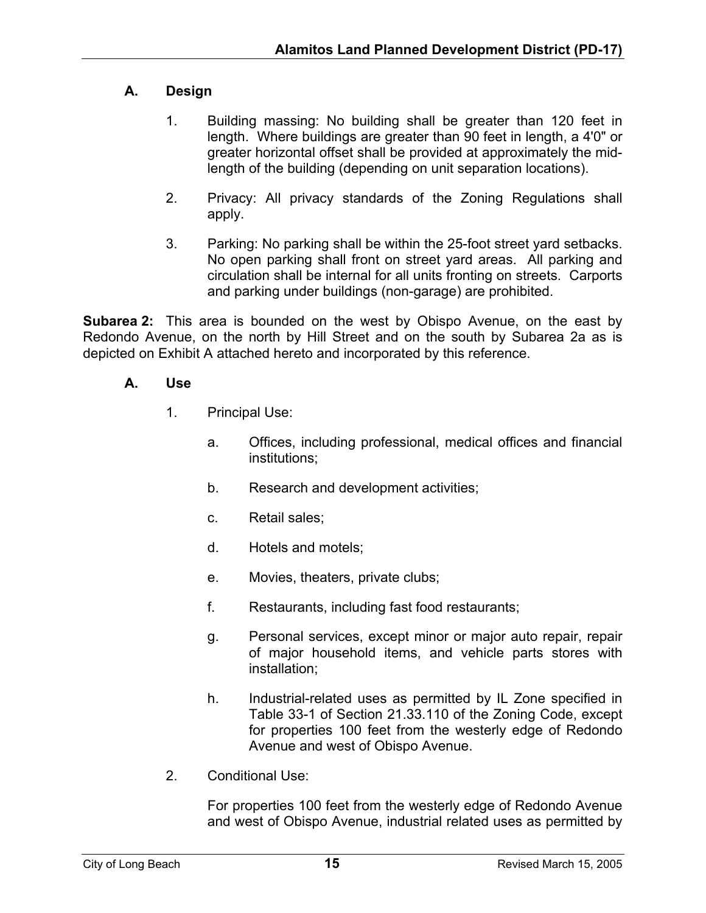# **A. Design**

- 1. Building massing: No building shall be greater than 120 feet in length. Where buildings are greater than 90 feet in length, a 4'0" or greater horizontal offset shall be provided at approximately the midlength of the building (depending on unit separation locations).
- 2. Privacy: All privacy standards of the Zoning Regulations shall apply.
- 3. Parking: No parking shall be within the 25-foot street yard setbacks. No open parking shall front on street yard areas. All parking and circulation shall be internal for all units fronting on streets. Carports and parking under buildings (non-garage) are prohibited.

**Subarea 2:** This area is bounded on the west by Obispo Avenue, on the east by Redondo Avenue, on the north by Hill Street and on the south by Subarea 2a as is depicted on Exhibit A attached hereto and incorporated by this reference.

# **A. Use**

- 1. Principal Use:
	- a. Offices, including professional, medical offices and financial institutions;
	- b. Research and development activities;
	- c. Retail sales;
	- d. Hotels and motels;
	- e. Movies, theaters, private clubs;
	- f. Restaurants, including fast food restaurants;
	- g. Personal services, except minor or major auto repair, repair of major household items, and vehicle parts stores with installation;
	- h. Industrial-related uses as permitted by IL Zone specified in Table 33-1 of Section 21.33.110 of the Zoning Code, except for properties 100 feet from the westerly edge of Redondo Avenue and west of Obispo Avenue.
- 2. Conditional Use:

For properties 100 feet from the westerly edge of Redondo Avenue and west of Obispo Avenue, industrial related uses as permitted by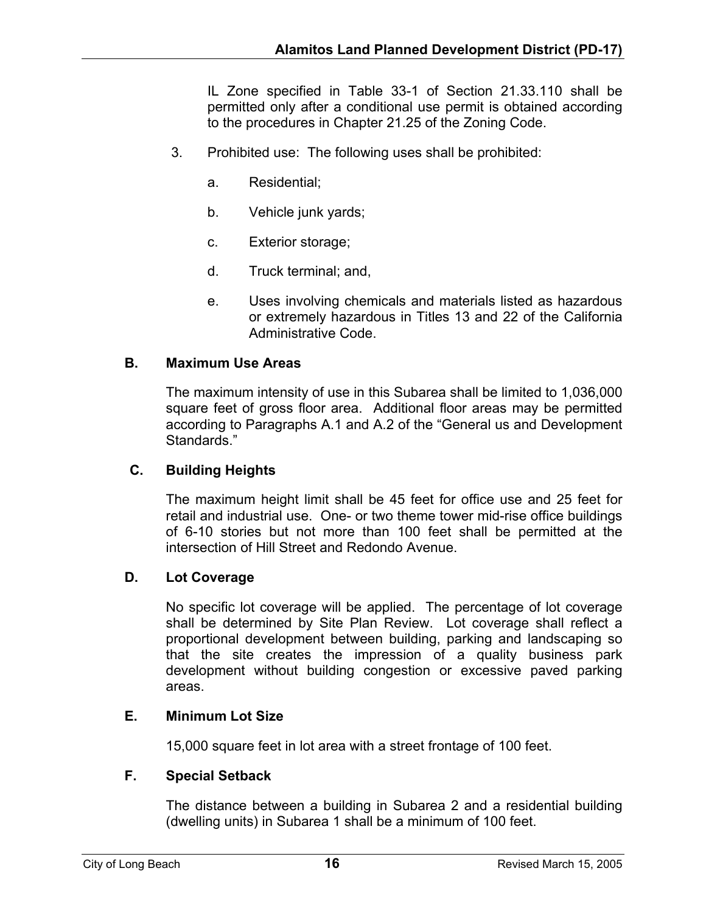IL Zone specified in Table 33-1 of Section 21.33.110 shall be permitted only after a conditional use permit is obtained according to the procedures in Chapter 21.25 of the Zoning Code.

- 3. Prohibited use: The following uses shall be prohibited:
	- a. Residential;
	- b. Vehicle junk yards;
	- c. Exterior storage;
	- d. Truck terminal; and,
	- e. Uses involving chemicals and materials listed as hazardous or extremely hazardous in Titles 13 and 22 of the California Administrative Code.

#### **B. Maximum Use Areas**

The maximum intensity of use in this Subarea shall be limited to 1,036,000 square feet of gross floor area. Additional floor areas may be permitted according to Paragraphs A.1 and A.2 of the "General us and Development Standards."

# **C. Building Heights**

The maximum height limit shall be 45 feet for office use and 25 feet for retail and industrial use. One- or two theme tower mid-rise office buildings of 6-10 stories but not more than 100 feet shall be permitted at the intersection of Hill Street and Redondo Avenue.

#### **D. Lot Coverage**

No specific lot coverage will be applied. The percentage of lot coverage shall be determined by Site Plan Review. Lot coverage shall reflect a proportional development between building, parking and landscaping so that the site creates the impression of a quality business park development without building congestion or excessive paved parking areas.

# **E. Minimum Lot Size**

15,000 square feet in lot area with a street frontage of 100 feet.

#### **F. Special Setback**

The distance between a building in Subarea 2 and a residential building (dwelling units) in Subarea 1 shall be a minimum of 100 feet.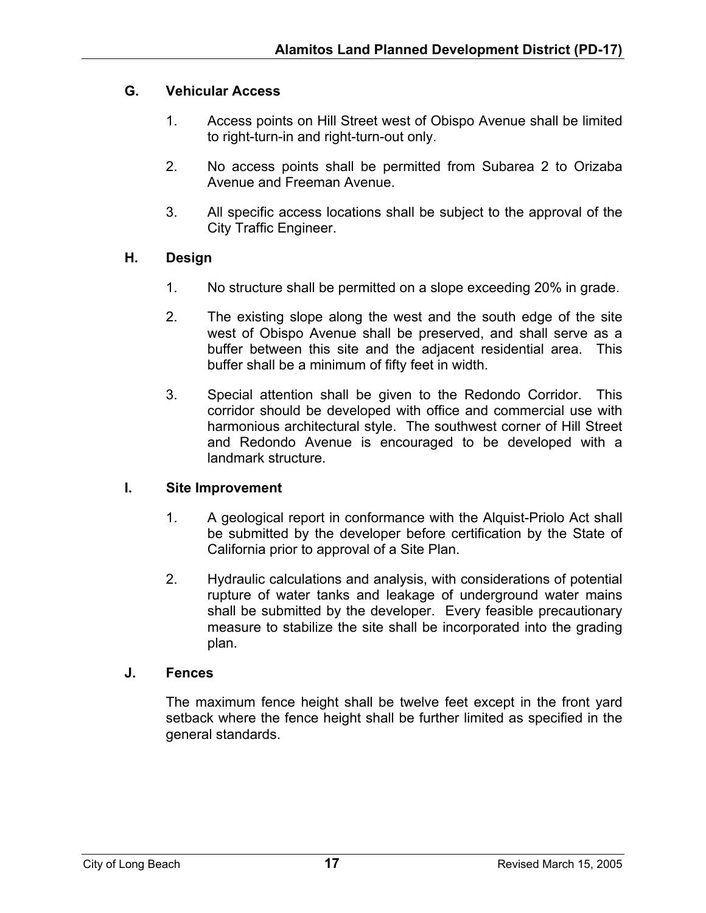# **G. Vehicular Access**

- 1. Access points on Hill Street west of Obispo Avenue shall be limited to right-turn-in and right-turn-out only.
- 2. No access points shall be permitted from Subarea 2 to Orizaba Avenue and Freeman Avenue.
- 3. All specific access locations shall be subject to the approval of the City Traffic Engineer.

# **H. Design**

- 1. No structure shall be permitted on a slope exceeding 20% in grade.
- 2. The existing slope along the west and the south edge of the site west of Obispo Avenue shall be preserved, and shall serve as a buffer between this site and the adjacent residential area. This buffer shall be a minimum of fifty feet in width.
- 3. Special attention shall be given to the Redondo Corridor. This corridor should be developed with office and commercial use with harmonious architectural style. The southwest corner of Hill Street and Redondo Avenue is encouraged to be developed with a landmark structure.

# **I. Site Improvement**

- 1. A geological report in conformance with the Alquist-Priolo Act shall be submitted by the developer before certification by the State of California prior to approval of a Site Plan.
- 2. Hydraulic calculations and analysis, with considerations of potential rupture of water tanks and leakage of underground water mains shall be submitted by the developer. Every feasible precautionary measure to stabilize the site shall be incorporated into the grading plan.

# **J. Fences**

The maximum fence height shall be twelve feet except in the front yard setback where the fence height shall be further limited as specified in the general standards.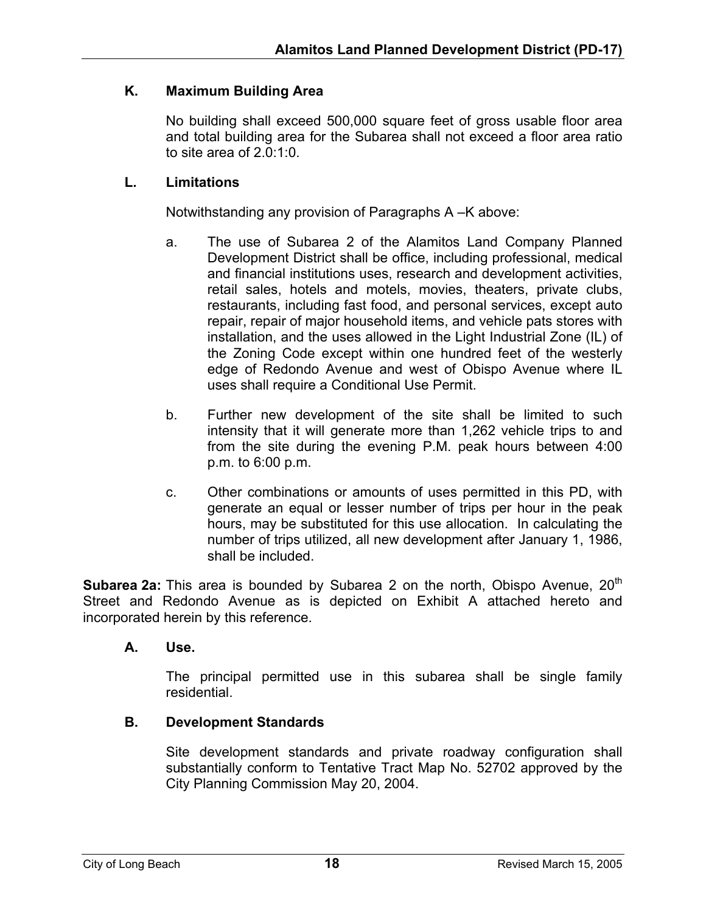# **K. Maximum Building Area**

No building shall exceed 500,000 square feet of gross usable floor area and total building area for the Subarea shall not exceed a floor area ratio to site area of 2.0:1:0.

### **L. Limitations**

Notwithstanding any provision of Paragraphs A –K above:

- a. The use of Subarea 2 of the Alamitos Land Company Planned Development District shall be office, including professional, medical and financial institutions uses, research and development activities, retail sales, hotels and motels, movies, theaters, private clubs, restaurants, including fast food, and personal services, except auto repair, repair of major household items, and vehicle pats stores with installation, and the uses allowed in the Light Industrial Zone (IL) of the Zoning Code except within one hundred feet of the westerly edge of Redondo Avenue and west of Obispo Avenue where IL uses shall require a Conditional Use Permit.
- b. Further new development of the site shall be limited to such intensity that it will generate more than 1,262 vehicle trips to and from the site during the evening P.M. peak hours between 4:00 p.m. to 6:00 p.m.
- c. Other combinations or amounts of uses permitted in this PD, with generate an equal or lesser number of trips per hour in the peak hours, may be substituted for this use allocation. In calculating the number of trips utilized, all new development after January 1, 1986, shall be included.

**Subarea 2a:** This area is bounded by Subarea 2 on the north, Obispo Avenue, 20<sup>th</sup> Street and Redondo Avenue as is depicted on Exhibit A attached hereto and incorporated herein by this reference.

# **A. Use.**

The principal permitted use in this subarea shall be single family residential.

# **B. Development Standards**

Site development standards and private roadway configuration shall substantially conform to Tentative Tract Map No. 52702 approved by the City Planning Commission May 20, 2004.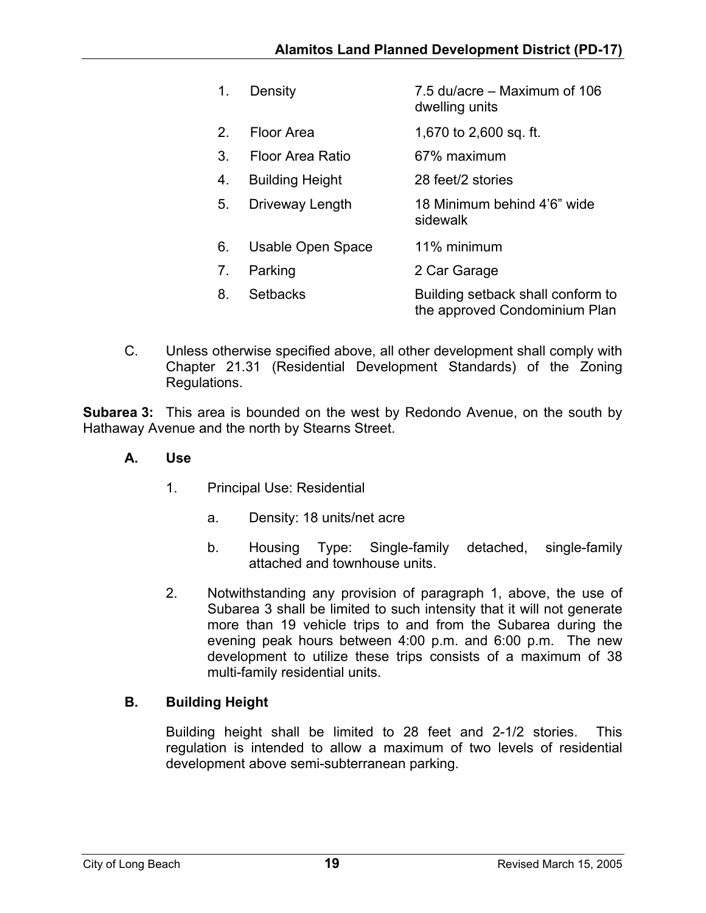| 1.             | Density                | 7.5 du/acre – Maximum of 106<br>dwelling units                     |
|----------------|------------------------|--------------------------------------------------------------------|
| 2              | Floor Area             | 1,670 to 2,600 sq. ft.                                             |
| 3.             | Floor Area Ratio       | 67% maximum                                                        |
| 4.             | <b>Building Height</b> | 28 feet/2 stories                                                  |
| 5.             | Driveway Length        | 18 Minimum behind 4'6" wide<br>sidewalk                            |
| 6.             | Usable Open Space      | 11% minimum                                                        |
| 7 <sub>1</sub> | Parking                | 2 Car Garage                                                       |
| 8.             | Setbacks               | Building setback shall conform to<br>the approved Condominium Plan |
|                |                        |                                                                    |

C. Unless otherwise specified above, all other development shall comply with Chapter 21.31 (Residential Development Standards) of the Zoning Regulations.

**Subarea 3:** This area is bounded on the west by Redondo Avenue, on the south by Hathaway Avenue and the north by Stearns Street.

- **A. Use** 
	- 1. Principal Use: Residential
		- a. Density: 18 units/net acre
		- b. Housing Type: Single-family detached, single-family attached and townhouse units.
	- 2. Notwithstanding any provision of paragraph 1, above, the use of Subarea 3 shall be limited to such intensity that it will not generate more than 19 vehicle trips to and from the Subarea during the evening peak hours between 4:00 p.m. and 6:00 p.m. The new development to utilize these trips consists of a maximum of 38 multi-family residential units.

# **B. Building Height**

Building height shall be limited to 28 feet and 2-1/2 stories. This regulation is intended to allow a maximum of two levels of residential development above semi-subterranean parking.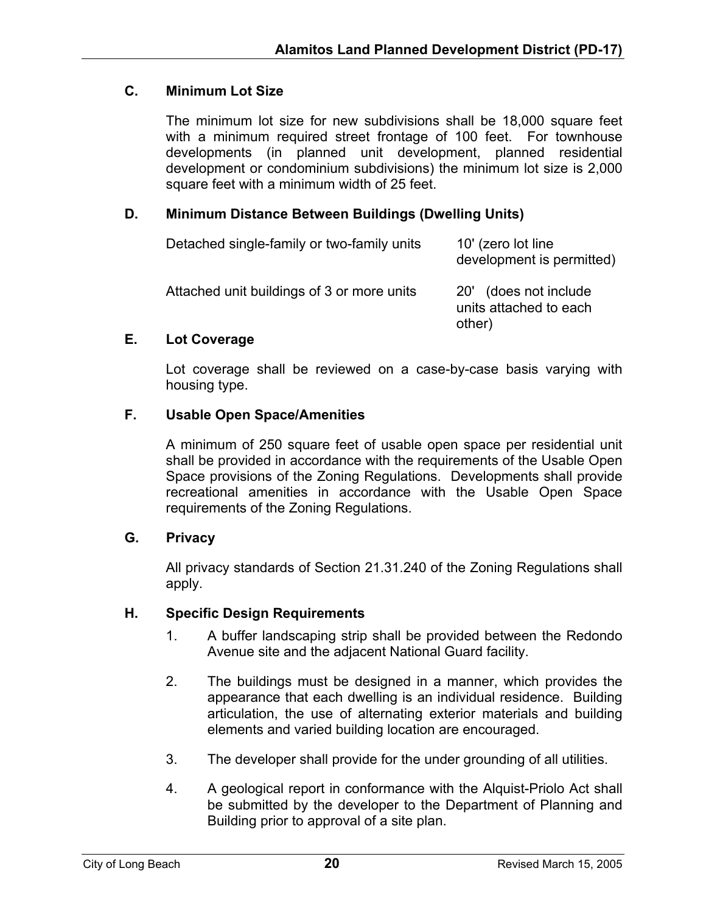# **C. Minimum Lot Size**

The minimum lot size for new subdivisions shall be 18,000 square feet with a minimum required street frontage of 100 feet. For townhouse developments (in planned unit development, planned residential development or condominium subdivisions) the minimum lot size is 2,000 square feet with a minimum width of 25 feet.

# **D. Minimum Distance Between Buildings (Dwelling Units)**

| Detached single-family or two-family units | 10' (zero lot line<br>development is permitted)            |
|--------------------------------------------|------------------------------------------------------------|
| Attached unit buildings of 3 or more units | 20' (does not include)<br>units attached to each<br>other) |

# **E. Lot Coverage**

Lot coverage shall be reviewed on a case-by-case basis varying with housing type.

# **F. Usable Open Space/Amenities**

A minimum of 250 square feet of usable open space per residential unit shall be provided in accordance with the requirements of the Usable Open Space provisions of the Zoning Regulations. Developments shall provide recreational amenities in accordance with the Usable Open Space requirements of the Zoning Regulations.

# **G. Privacy**

All privacy standards of Section 21.31.240 of the Zoning Regulations shall apply.

# **H. Specific Design Requirements**

- 1. A buffer landscaping strip shall be provided between the Redondo Avenue site and the adjacent National Guard facility.
- 2. The buildings must be designed in a manner, which provides the appearance that each dwelling is an individual residence. Building articulation, the use of alternating exterior materials and building elements and varied building location are encouraged.
- 3. The developer shall provide for the under grounding of all utilities.
- 4. A geological report in conformance with the Alquist-Priolo Act shall be submitted by the developer to the Department of Planning and Building prior to approval of a site plan.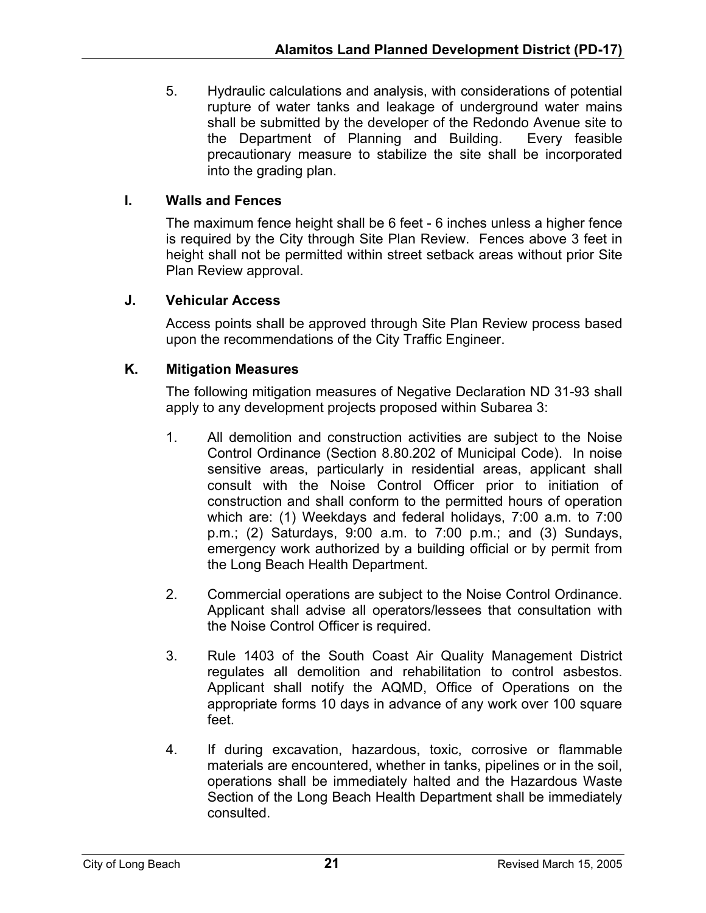5. Hydraulic calculations and analysis, with considerations of potential rupture of water tanks and leakage of underground water mains shall be submitted by the developer of the Redondo Avenue site to the Department of Planning and Building. Every feasible precautionary measure to stabilize the site shall be incorporated into the grading plan.

# **I. Walls and Fences**

The maximum fence height shall be 6 feet - 6 inches unless a higher fence is required by the City through Site Plan Review. Fences above 3 feet in height shall not be permitted within street setback areas without prior Site Plan Review approval.

# **J. Vehicular Access**

Access points shall be approved through Site Plan Review process based upon the recommendations of the City Traffic Engineer.

# **K. Mitigation Measures**

The following mitigation measures of Negative Declaration ND 31-93 shall apply to any development projects proposed within Subarea 3:

- 1. All demolition and construction activities are subject to the Noise Control Ordinance (Section 8.80.202 of Municipal Code). In noise sensitive areas, particularly in residential areas, applicant shall consult with the Noise Control Officer prior to initiation of construction and shall conform to the permitted hours of operation which are: (1) Weekdays and federal holidays, 7:00 a.m. to 7:00 p.m.; (2) Saturdays, 9:00 a.m. to 7:00 p.m.; and (3) Sundays, emergency work authorized by a building official or by permit from the Long Beach Health Department.
- 2. Commercial operations are subject to the Noise Control Ordinance. Applicant shall advise all operators/lessees that consultation with the Noise Control Officer is required.
- 3. Rule 1403 of the South Coast Air Quality Management District regulates all demolition and rehabilitation to control asbestos. Applicant shall notify the AQMD, Office of Operations on the appropriate forms 10 days in advance of any work over 100 square feet.
- 4. If during excavation, hazardous, toxic, corrosive or flammable materials are encountered, whether in tanks, pipelines or in the soil, operations shall be immediately halted and the Hazardous Waste Section of the Long Beach Health Department shall be immediately consulted.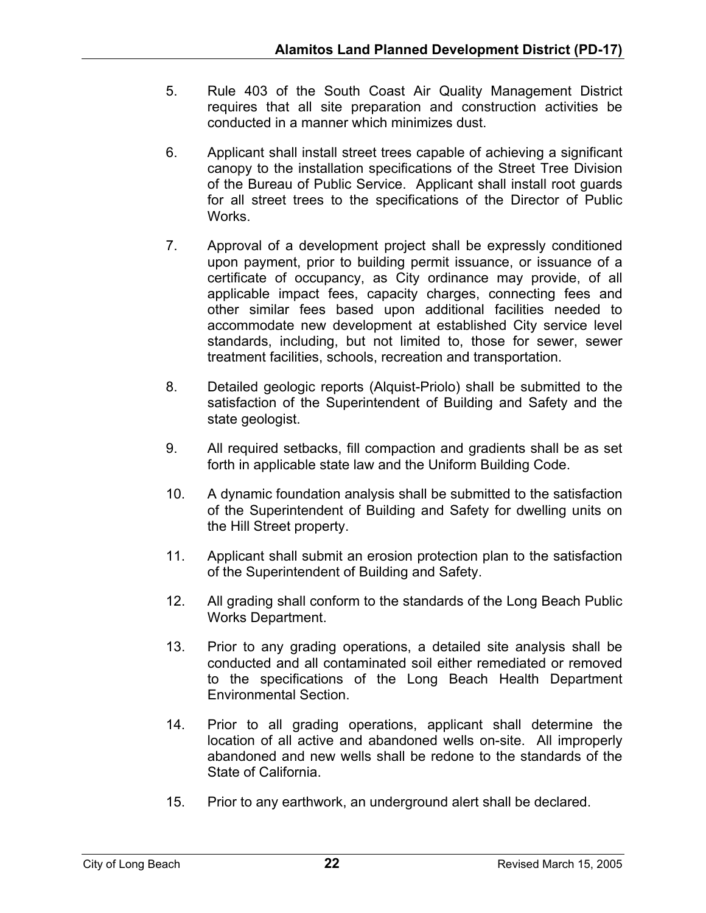- 5. Rule 403 of the South Coast Air Quality Management District requires that all site preparation and construction activities be conducted in a manner which minimizes dust.
- 6. Applicant shall install street trees capable of achieving a significant canopy to the installation specifications of the Street Tree Division of the Bureau of Public Service. Applicant shall install root guards for all street trees to the specifications of the Director of Public Works.
- 7. Approval of a development project shall be expressly conditioned upon payment, prior to building permit issuance, or issuance of a certificate of occupancy, as City ordinance may provide, of all applicable impact fees, capacity charges, connecting fees and other similar fees based upon additional facilities needed to accommodate new development at established City service level standards, including, but not limited to, those for sewer, sewer treatment facilities, schools, recreation and transportation.
- 8. Detailed geologic reports (Alquist-Priolo) shall be submitted to the satisfaction of the Superintendent of Building and Safety and the state geologist.
- 9. All required setbacks, fill compaction and gradients shall be as set forth in applicable state law and the Uniform Building Code.
- 10. A dynamic foundation analysis shall be submitted to the satisfaction of the Superintendent of Building and Safety for dwelling units on the Hill Street property.
- 11. Applicant shall submit an erosion protection plan to the satisfaction of the Superintendent of Building and Safety.
- 12. All grading shall conform to the standards of the Long Beach Public Works Department.
- 13. Prior to any grading operations, a detailed site analysis shall be conducted and all contaminated soil either remediated or removed to the specifications of the Long Beach Health Department Environmental Section.
- 14. Prior to all grading operations, applicant shall determine the location of all active and abandoned wells on-site. All improperly abandoned and new wells shall be redone to the standards of the State of California.
- 15. Prior to any earthwork, an underground alert shall be declared.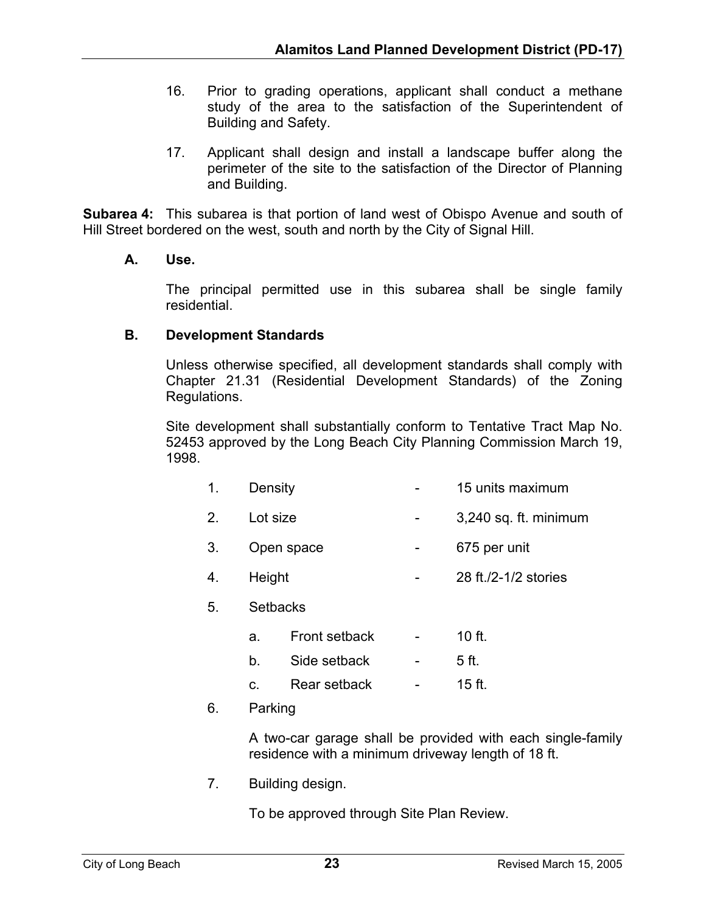- 16. Prior to grading operations, applicant shall conduct a methane study of the area to the satisfaction of the Superintendent of Building and Safety.
- 17. Applicant shall design and install a landscape buffer along the perimeter of the site to the satisfaction of the Director of Planning and Building.

**Subarea 4:** This subarea is that portion of land west of Obispo Avenue and south of Hill Street bordered on the west, south and north by the City of Signal Hill.

# **A. Use.**

The principal permitted use in this subarea shall be single family residential.

#### **B. Development Standards**

Unless otherwise specified, all development standards shall comply with Chapter 21.31 (Residential Development Standards) of the Zoning Regulations.

Site development shall substantially conform to Tentative Tract Map No. 52453 approved by the Long Beach City Planning Commission March 19, 1998.

|  | Density |  | 15 units maximum |
|--|---------|--|------------------|
|--|---------|--|------------------|

- 2. Lot size **business 1** and 1,240 sq. ft. minimum
- 3. Open space The C<sub>2</sub> and C<sub>2</sub> and C<sub>2</sub> and C<sub>2</sub> and C<sub>2</sub> and C<sub>2</sub> and C<sub>2</sub> and C<sub>2</sub> and C<sub>2</sub> and C<sub>2</sub> and C<sub>2</sub> and C<sub>2</sub> and C<sub>2</sub> and C<sub>2</sub> and C<sub>2</sub> and C<sub>2</sub> and C<sub>2</sub> and C<sub>2</sub> and C<sub>2</sub> and C<sub>2</sub> and C<sub>2</sub> and C<sub>2</sub> and C<sub>2</sub> a
- 4. Height 28 ft./2-1/2 stories
- 5. Setbacks
	- a. Front setback 10 ft.
	- b. Side setback 5 ft.
	- c. Rear setback 15 ft.
- 6. Parking

A two-car garage shall be provided with each single-family residence with a minimum driveway length of 18 ft.

7. Building design.

To be approved through Site Plan Review.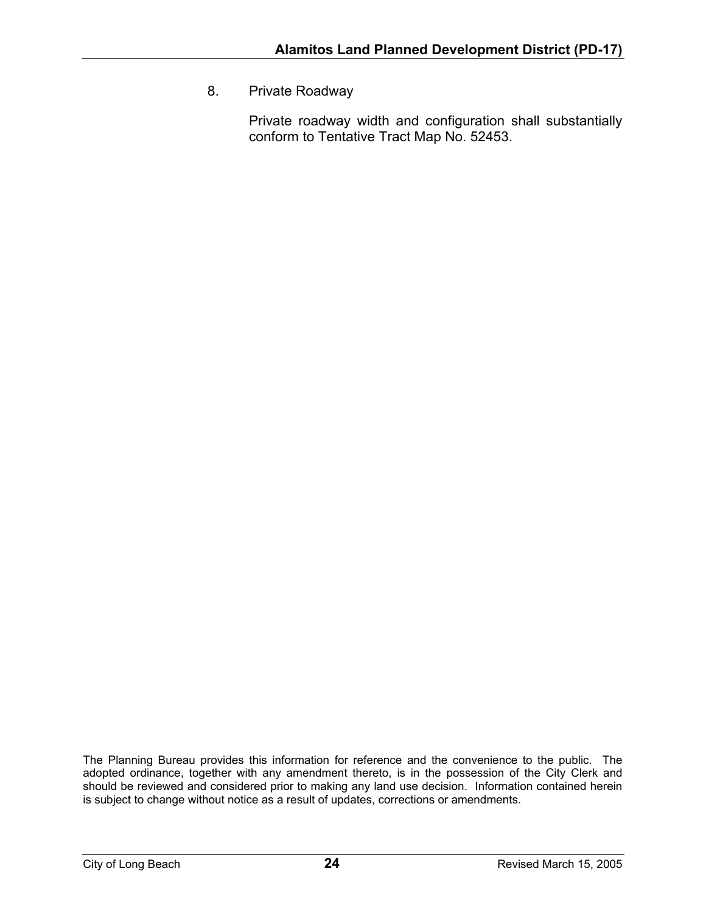8. Private Roadway

Private roadway width and configuration shall substantially conform to Tentative Tract Map No. 52453.

The Planning Bureau provides this information for reference and the convenience to the public. The adopted ordinance, together with any amendment thereto, is in the possession of the City Clerk and should be reviewed and considered prior to making any land use decision. Information contained herein is subject to change without notice as a result of updates, corrections or amendments.